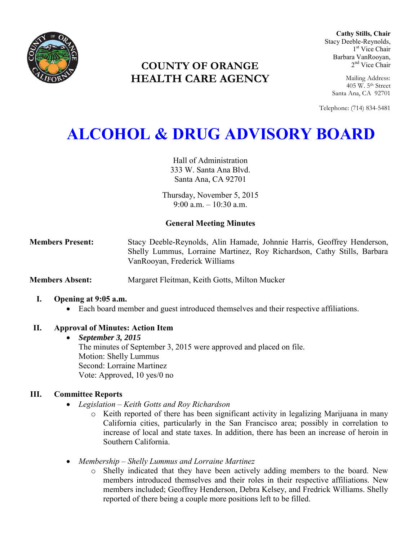

# **COUNTY OF ORANGE HEALTH CARE AGENCY**

**Cathy Stills, Chair** Stacy Deeble-Reynolds, 1 st Vice Chair Barbara VanRooyan, 2<sup>nd</sup> Vice Chair

Mailing Address: 405 W. 5th Street Santa Ana, CA 92701

Telephone: (714) 834-5481

# **ALCOHOL & DRUG ADVISORY BOARD**

Hall of Administration 333 W. Santa Ana Blvd. Santa Ana, CA 92701

Thursday, November 5, 2015  $9.00 a m - 10.30 a m$ 

# **General Meeting Minutes**

**Members Present:** Stacy Deeble-Reynolds, Alin Hamade, Johnnie Harris, Geoffrey Henderson, Shelly Lummus, Lorraine Martinez, Roy Richardson, Cathy Stills, Barbara VanRooyan, Frederick Williams

**Members Absent:** Margaret Fleitman, Keith Gotts, Milton Mucker

### **I. Opening at 9:05 a.m.**

Each board member and guest introduced themselves and their respective affiliations.

# **II. Approval of Minutes: Action Item**

 *September 3, 2015*  The minutes of September 3, 2015 were approved and placed on file. Motion: Shelly Lummus Second: Lorraine Martinez Vote: Approved, 10 yes/0 no

# **III. Committee Reports**

- *Legislation – Keith Gotts and Roy Richardson* 
	- o Keith reported of there has been significant activity in legalizing Marijuana in many California cities, particularly in the San Francisco area; possibly in correlation to increase of local and state taxes. In addition, there has been an increase of heroin in Southern California.
- *Membership – Shelly Lummus and Lorraine Martinez* 
	- o Shelly indicated that they have been actively adding members to the board. New members introduced themselves and their roles in their respective affiliations. New members included; Geoffrey Henderson, Debra Kelsey, and Fredrick Williams. Shelly reported of there being a couple more positions left to be filled.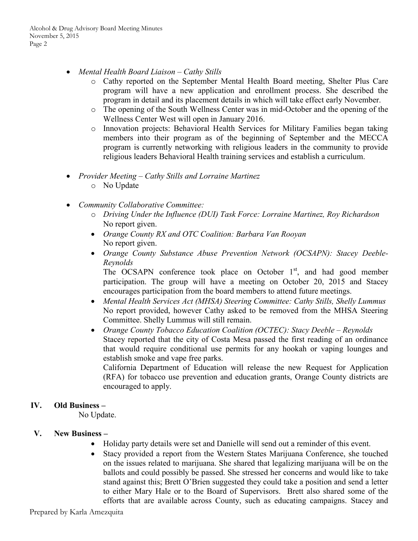- *Mental Health Board Liaison Cathy Stills* 
	- o Cathy reported on the September Mental Health Board meeting, Shelter Plus Care program will have a new application and enrollment process. She described the program in detail and its placement details in which will take effect early November.
	- o The opening of the South Wellness Center was in mid-October and the opening of the Wellness Center West will open in January 2016.
	- o Innovation projects: Behavioral Health Services for Military Families began taking members into their program as of the beginning of September and the MECCA program is currently networking with religious leaders in the community to provide religious leaders Behavioral Health training services and establish a curriculum.
- *Provider Meeting Cathy Stills and Lorraine Martinez*  o No Update
- *Community Collaborative Committee:* 
	- o *Driving Under the Influence (DUI) Task Force: Lorraine Martinez, Roy Richardson*  No report given.
	- *Orange County RX and OTC Coalition: Barbara Van Rooyan*  No report given.
	- *Orange County Substance Abuse Prevention Network (OCSAPN): Stacey Deeble-Reynolds*

The OCSAPN conference took place on October  $1<sup>st</sup>$ , and had good member participation. The group will have a meeting on October 20, 2015 and Stacey encourages participation from the board members to attend future meetings.

- *Mental Health Services Act (MHSA) Steering Committee: Cathy Stills, Shelly Lummus*  No report provided, however Cathy asked to be removed from the MHSA Steering Committee. Shelly Lummus will still remain.
- *Orange County Tobacco Education Coalition (OCTEC): Stacy Deeble Reynolds*  Stacey reported that the city of Costa Mesa passed the first reading of an ordinance that would require conditional use permits for any hookah or vaping lounges and establish smoke and vape free parks.

California Department of Education will release the new Request for Application (RFA) for tobacco use prevention and education grants, Orange County districts are encouraged to apply.

### **IV. Old Business –**

No Update.

### **V. New Business –**

- Holiday party details were set and Danielle will send out a reminder of this event.
- Stacy provided a report from the Western States Marijuana Conference, she touched on the issues related to marijuana. She shared that legalizing marijuana will be on the ballots and could possibly be passed. She stressed her concerns and would like to take stand against this; Brett O'Brien suggested they could take a position and send a letter to either Mary Hale or to the Board of Supervisors. Brett also shared some of the efforts that are available across County, such as educating campaigns. Stacey and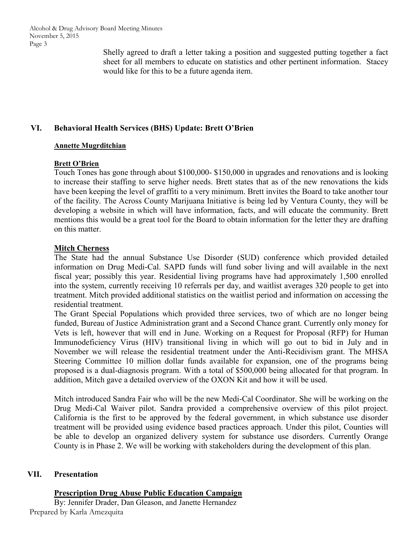Alcohol & Drug Advisory Board Meeting Minutes November 5, 2015 Page 3

> Shelly agreed to draft a letter taking a position and suggested putting together a fact sheet for all members to educate on statistics and other pertinent information. Stacey would like for this to be a future agenda item.

## **VI. Behavioral Health Services (BHS) Update: Brett O'Brien**

#### **Annette Mugrditchian**

#### **Brett O'Brien**

Touch Tones has gone through about \$100,000- \$150,000 in upgrades and renovations and is looking to increase their staffing to serve higher needs. Brett states that as of the new renovations the kids have been keeping the level of graffiti to a very minimum. Brett invites the Board to take another tour of the facility. The Across County Marijuana Initiative is being led by Ventura County, they will be developing a website in which will have information, facts, and will educate the community. Brett mentions this would be a great tool for the Board to obtain information for the letter they are drafting on this matter.

#### **Mitch Cherness**

The State had the annual Substance Use Disorder (SUD) conference which provided detailed information on Drug Medi-Cal. SAPD funds will fund sober living and will available in the next fiscal year; possibly this year. Residential living programs have had approximately 1,500 enrolled into the system, currently receiving 10 referrals per day, and waitlist averages 320 people to get into treatment. Mitch provided additional statistics on the waitlist period and information on accessing the residential treatment.

The Grant Special Populations which provided three services, two of which are no longer being funded, Bureau of Justice Administration grant and a Second Chance grant. Currently only money for Vets is left, however that will end in June. Working on a Request for Proposal (RFP) for Human Immunodeficiency Virus (HIV) transitional living in which will go out to bid in July and in November we will release the residential treatment under the Anti-Recidivism grant. The MHSA Steering Committee 10 million dollar funds available for expansion, one of the programs being proposed is a dual-diagnosis program. With a total of \$500,000 being allocated for that program. In addition, Mitch gave a detailed overview of the OXON Kit and how it will be used.

Mitch introduced Sandra Fair who will be the new Medi-Cal Coordinator. She will be working on the Drug Medi-Cal Waiver pilot. Sandra provided a comprehensive overview of this pilot project. California is the first to be approved by the federal government, in which substance use disorder treatment will be provided using evidence based practices approach. Under this pilot, Counties will be able to develop an organized delivery system for substance use disorders. Currently Orange County is in Phase 2. We will be working with stakeholders during the development of this plan.

### **VII. Presentation**

**Prescription Drug Abuse Public Education Campaign**